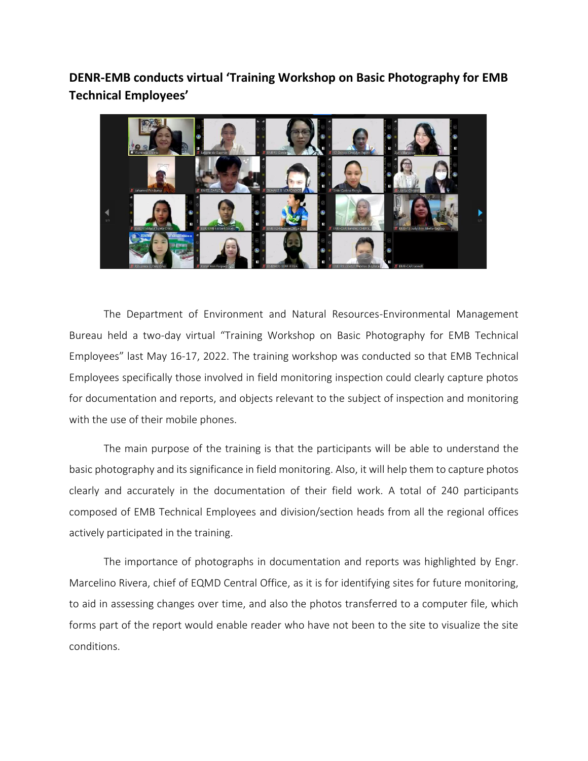**DENR-EMB conducts virtual 'Training Workshop on Basic Photography for EMB Technical Employees'**



The Department of Environment and Natural Resources-Environmental Management Bureau held a two-day virtual "Training Workshop on Basic Photography for EMB Technical Employees" last May 16-17, 2022. The training workshop was conducted so that EMB Technical Employees specifically those involved in field monitoring inspection could clearly capture photos for documentation and reports, and objects relevant to the subject of inspection and monitoring with the use of their mobile phones.

The main purpose of the training is that the participants will be able to understand the basic photography and its significance in field monitoring. Also, it will help them to capture photos clearly and accurately in the documentation of their field work. A total of 240 participants composed of EMB Technical Employees and division/section heads from all the regional offices actively participated in the training.

The importance of photographs in documentation and reports was highlighted by Engr. Marcelino Rivera, chief of EQMD Central Office, as it is for identifying sites for future monitoring, to aid in assessing changes over time, and also the photos transferred to a computer file, which forms part of the report would enable reader who have not been to the site to visualize the site conditions.